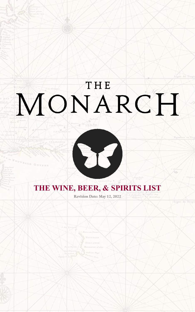# THE MONARCH



BC

**Revision Date: May 12, 2022**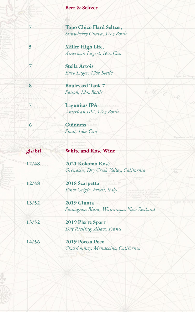#### **Beer & Seltzer**

 **7 Topo Chico Hard Seltzer,** *Strawberry Guava, 12oz Bottle*

 **5 Miller High Life,** *American Lagert, 16oz Can*

> **7 Stella Artois** *Euro Lager, 12oz Bottle*

 **8 Boulevard Tank 7** *Saison, 12oz Bottle*

 **7 Lagunitas IPA** *American IPA, 12oz Bottle*

 **6 Guinness** *Stout, 16oz Can*

#### **gls/btl White and Rose Wine**

**12/48 2021 Kokomo Rosé** *Grenache, Dry Creek Valley, California* G-E

**12/48 2018 Scarpetta**  *Pinot Grigio, Friuli, Italy*

**13/52 2019 Giunta** *Sauvignon Blanc, Wairarapa, New Zealand*

**13/52 2019 Pierre Sparr**

*Dry Riesling, Alsace, France*

**14/56 2019 Poco a Poco** *Chardonnay, Mendocino, California*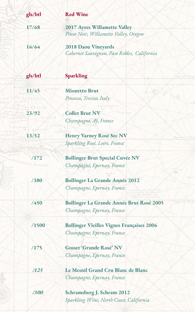| gls/btl | <b>Red Wine</b>                                  |
|---------|--------------------------------------------------|
| 17/68   | 2017 Ayres Willamette Valley                     |
|         | Pinot Noir, Willamette Valley, Oregon            |
| 16/64   | <b>2018 Daou Vineyards</b>                       |
|         | Cabernet Sauvignon, Paso Robles, California      |
| gls/btl | <b>Sparkling</b>                                 |
| 11/45   | <b>Mionetto Brut</b>                             |
|         | Prosecco, Treviso, Italy                         |
| 23/92   | <b>Collet Brut NV</b>                            |
|         | Champagne, Aÿ, France                            |
| 13/52   | <b>Henry Varney Rosé Sec NV</b>                  |
|         | Sparkling Rosé, Loire, France                    |
| /172    | <b>Bollinger Brut Special Cuvée NV</b>           |
| GUINER  | Champagne, Epernay, France                       |
| /380    | <b>Bollinger La Grande Année 2012</b>            |
|         | Champagne, Epernay, France                       |
| /450    | Bollinger La Grande Année Brut Rosé 2005         |
|         | Champagne, Epernay, France                       |
| /1500   | <b>Bollinger Vieilles Vignes Françaises 2006</b> |
|         | Champagne, Epernay, France                       |
| /175    | Gosset 'Grande Rosé' NV                          |
|         | Champagne, Epernay, France                       |
| /125    | Le Mesnil Grand Cru Blanc de Blanc               |
|         | Champagne, Epernay, France                       |
| /300    | Schramsberg J. Schram 2012                       |
|         | Sparkling Wine, North Coast, California          |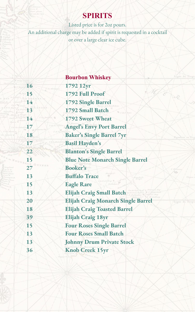## **SPIRITS**

Listed price is for 2oz pours.

An additional charge may be added if spirit is requested in a cocktail or over a large clear ice cube.

|            | <b>Bourbon Whiskey</b>                 |
|------------|----------------------------------------|
| 16         | 1792 12yr                              |
| 15         | 1792 Full Proof                        |
| 14         | 1792 Single Barrel                     |
| 13         | 1792 Small Batch                       |
| 14         | 1792 Sweet Wheat                       |
| 17         | <b>Angel's Envy Port Barrel</b>        |
| 18         | <b>Baker's Single Barrel 7yr</b>       |
| 17         | <b>Basil Hayden's</b>                  |
| 22         | <b>Blanton's Single Barrel</b>         |
| 15         | <b>Blue Note Monarch Single Barrel</b> |
| UIVE<br>27 | <b>Booker's</b>                        |
| 13         | <b>Buffalo Trace</b>                   |
| 15         | <b>Eagle Rare</b>                      |
| 13         | <b>Elijah Craig Small Batch</b>        |
| 20         | Elijah Craig Monarch Single Barrel     |
| 18         | <b>Elijah Craig Toasted Barrel</b>     |
| 39         | <b>Elijah Craig 18yr</b>               |
| 15         | <b>Four Roses Single Barrel</b>        |
| 13         | <b>Four Roses Small Batch</b>          |
| 13         | <b>Johnny Drum Private Stock</b>       |
| 36         | <b>Knob Creek 15yr</b>                 |
|            |                                        |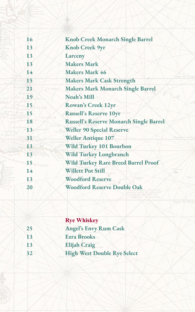| 16              |                                                |
|-----------------|------------------------------------------------|
|                 | <b>Knob Creek Monarch Single Barrel</b>        |
| 13              | <b>Knob Creek 9yr</b>                          |
| 13              | <b>Larceny</b>                                 |
| 13              | <b>Makers Mark</b>                             |
| 14              | <b>Makers Mark 46</b>                          |
| 15              | <b>Makers Mark Cask Strength</b>               |
| 21              | <b>Makers Mark Monarch Single Barrel</b>       |
| 19              | <b>Noah's Mill</b>                             |
| 15              | <b>Rowan's Creek 12yr</b>                      |
| 15              | <b>Russell's Reserve 10yr</b>                  |
| 18              | <b>Russell's Reserve Monarch Single Barrel</b> |
| 13              | <b>Weller 90 Special Reserve</b>               |
| 31              | <b>Weller Antique 107</b>                      |
| 13              | <b>Wild Turkey 101 Bourbon</b>                 |
| 13              | <b>Wild Turkey Longbranch</b>                  |
| $\overline{15}$ | <b>Wild Turkey Rare Breed Barrel Proof</b>     |
| 14              | <b>Willett Pot Still</b>                       |
| 13              | <b>Woodford Reserve</b>                        |
| 20              | <b>Woodford Reserve Double Oak</b>             |
|                 |                                                |

|    | <b>Rye Whiskey</b>                 |
|----|------------------------------------|
| 25 | <b>Angel's Envy Rum Cask</b>       |
| 13 | <b>Ezra Brooks</b>                 |
| 13 | <b>Elijah Craig</b>                |
| 32 | <b>High West Double Rye Select</b> |
|    |                                    |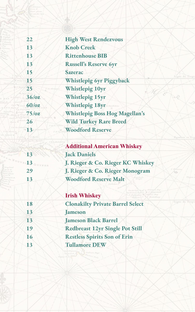| 22             | <b>High West Rendezvous</b>             |
|----------------|-----------------------------------------|
| 13             | <b>Knob Creek</b>                       |
| 13             | <b>Rittenhouse BIB</b>                  |
| 13             | <b>Russell's Reserve 6yr</b>            |
| 15             | <b>Sazerac</b>                          |
| 15             | Whistlepig 6yr Piggyback                |
| 25             | <b>Whistlepig 10yr</b>                  |
| $36/\text{oz}$ | <b>Whistlepig 15yr</b>                  |
| 60/cz          | <b>Whistlepig 18yr</b>                  |
| $75/\text{o}z$ | <b>Whistlepig Boss Hog Magellan's</b>   |
| 26             | <b>Wild Turkey Rare Breed</b>           |
| 13             | <b>Woodford Reserve</b>                 |
|                | <b>Additional American Whiskey</b>      |
| 13             | <b>Jack Daniels</b>                     |
| $13 -$         | J. Rieger & Co. Rieger KC Whiskey       |
| 29             | J. Rieger & Co. Rieger Monogram         |
| 13             | <b>Woodford Reserve Malt</b>            |
|                | <b>Irish Whiskey</b>                    |
| 18             | <b>Clonakilty Private Barrel Select</b> |
| 13             | <b>Jameson</b>                          |
| 13             | <b>Jameson Black Barrel</b>             |
| 19             | <b>Redbreast 12yr Single Pot Still</b>  |
| 16             | <b>Restless Spirits Son of Erin</b>     |
| 13             | <b>Tullamore DEW</b>                    |
|                |                                         |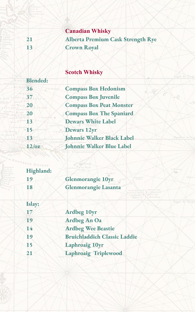## **Canadian Whisky Alberta Premium Cask Strength Rye Crown Royal**

### **Scotch Whisky**

**Blended:**

| пениси. |                                 |
|---------|---------------------------------|
| 36      | <b>Compass Box Hedonism</b>     |
| 37      | <b>Compass Box Juvenile</b>     |
| 20      | <b>Compass Box Peat Monster</b> |
| 20      | <b>Compass Box The Spaniard</b> |
| 13      | <b>Dewars White Label</b>       |
| 15      | <b>Dewars 12yr</b>              |
| 13      | Johnnie Walker Black Label      |
| 12/cz   | Johnnie Walker Blue Label       |
|         |                                 |

| Highland: |                                     |
|-----------|-------------------------------------|
| 19        | <b>Glenmorangie 10yr</b>            |
| 18        | Glenmorangie Lasanta                |
| Islay:    |                                     |
| 17        | <b>Ardbeg 10yr</b>                  |
| 19        | Ardbeg An Oa                        |
| 14        | <b>Ardbeg Wee Beastie</b>           |
| 19        | <b>Bruichladdich Classic Laddie</b> |
| 15        | <b>Laphroaig 10yr</b>               |
| 21        | Laphroaig Triplewood                |
|           |                                     |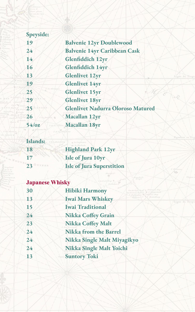| Speyside: |                                          |
|-----------|------------------------------------------|
| 19        | <b>Balvenie 12yr Doublewood</b>          |
| 24        | <b>Balvenie 14yr Caribbean Cask</b>      |
| 14        | Glenfiddich 12yr                         |
| 16        | Glenfiddich 14yr                         |
| 13        | <b>Glenlivet 12yr</b>                    |
| 19        | <b>Glenlivet 14yr</b>                    |
| 25        | <b>Glenlivet 15yr</b>                    |
| 29        | <b>Glenlivet 18yr</b>                    |
| 25        | <b>Glenlivet Nadurra Oloroso Matured</b> |
| 26        | Macallan 12yr                            |
| 54/cz     | <b>Macallan 18yr</b>                     |
|           |                                          |
|           |                                          |

| <b>Islands:</b>     |                                  |
|---------------------|----------------------------------|
| 18                  | <b>Highland Park 12yr</b>        |
| 17                  | Isle of Jura 10yr                |
| 23<br><b>FEMERE</b> | <b>Isle of Jura Superstition</b> |

## **Japanese Whisky**

| <b>Hibiki Harmony</b>        |
|------------------------------|
| <b>Iwai Mars Whiskey</b>     |
| <b>Iwai Traditional</b>      |
| Nikka Coffey Grain           |
| <b>Nikka Coffey Malt</b>     |
| <b>Nikka from the Barrel</b> |
| Nikka Single Malt Miyagikyo  |
| Nikka Single Malt Yoichi     |
| <b>Suntory Toki</b>          |
|                              |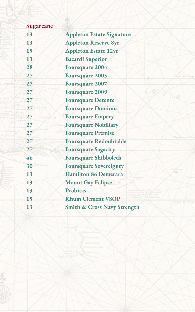| <b>Sugarcane</b> |                                        |
|------------------|----------------------------------------|
| 13               | <b>Appleton Estate Signature</b>       |
| 13               | <b>Appleton Reserve 8yr</b>            |
| 15               | <b>Appleton Estate 12yr</b>            |
| 13               | <b>Bacardi Superior</b>                |
| 28               | <b>Foursquare 2004</b>                 |
| 27               | <b>Foursquare 2005</b>                 |
| 27               | <b>Foursquare 2007</b>                 |
| 27               | <b>Foursquare 2009</b>                 |
| 27               | <b>Foursquare Detente</b>              |
| 27               | <b>Foursquare Dominus</b>              |
| 27               | <b>Foursquare Empery</b>               |
| 27               | <b>Foursquare Nobiliary</b>            |
| 27               | <b>Foursquare Premise</b>              |
| 27               | <b>Foursquare Redoubtable</b>          |
| 27               | <b>Foursquare Sagacity</b>             |
| 46               | <b>Foursquare Shibboleth</b>           |
| 30               | <b>Foursquare Sovereignty</b>          |
| 13               | <b>Hamilton 86 Demerara</b>            |
| 13               | <b>Mount Gay Eclipse</b>               |
| 13               | <b>Probitas</b>                        |
| 15               | <b>Rhum Clement VSOP</b>               |
| 13               | <b>Smith &amp; Cross Navy Strength</b> |
|                  |                                        |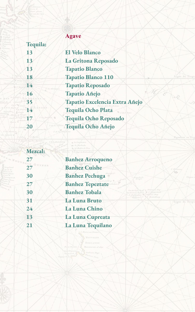#### **Agave**

| Tequila: |                                |
|----------|--------------------------------|
| 13       | <b>El Velo Blanco</b>          |
| 13       | La Gritona Reposado            |
| 13       | <b>Tapatio Blanco</b>          |
| 18       | Tapatio Blanco 110             |
| 14       | <b>Tapatio Reposado</b>        |
| 16       | Tapatio Añejo                  |
| 35       | Tapatio Excelencia Extra Añejo |
| 14       | Tequila Ocho Plata             |
| 17       | Tequila Ocho Reposado          |
| 20       | Tequila Ocho Añejo             |
|          |                                |

| Mezcal: |                         |
|---------|-------------------------|
| 27      | <b>Banhez Arroqueno</b> |
| 27      | <b>Banhez Cuishe</b>    |
| 30      | <b>Banhez Pechuga</b>   |
| 27      | <b>Banhez Tepeztate</b> |
| 30      | <b>Banhez Tobala</b>    |
| 31      | La Luna Bruto           |
| 24      | La Luna Chino           |
| 13      | La Luna Cupreata        |
| 21      | La Luna Tequilano       |
|         |                         |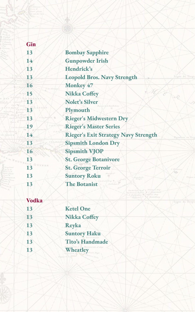| Gin          |                                             |
|--------------|---------------------------------------------|
| 13           | <b>Bombay Sapphire</b>                      |
| 14           | <b>Gunpowder Irish</b>                      |
| 13           | Hendrick's                                  |
| 13           | <b>Leopold Bros. Navy Strength</b>          |
| 16           | <b>Monkey 47</b>                            |
| 15           | <b>Nikka Coffey</b>                         |
| 13           | <b>Nolet's Silver</b>                       |
| 13           | Plymouth                                    |
| 13           | <b>Rieger's Midwestern Dry</b>              |
| 19           | <b>Rieger's Master Series</b>               |
| 14           | <b>Rieger's Exit Strategy Navy Strength</b> |
| 13           | <b>Sipsmith London Dry</b>                  |
| 16           | <b>Sipsmith VJOP</b>                        |
| 13           | <b>St. George Botanivore</b>                |
| 13           | <b>St. George Terroir</b>                   |
| 13           | <b>Suntory Roku</b>                         |
| 13           | <b>The Botanist</b>                         |
|              |                                             |
| <b>Vodka</b> |                                             |
| 13           | <b>Ketel One</b>                            |
| 13           | <b>Nikka Coffey</b>                         |
| 13           | Reyka                                       |
| 13           | <b>Suntory Haku</b>                         |
| 13           | Tito's Handmade                             |
| 13           | Wheatley                                    |
|              |                                             |